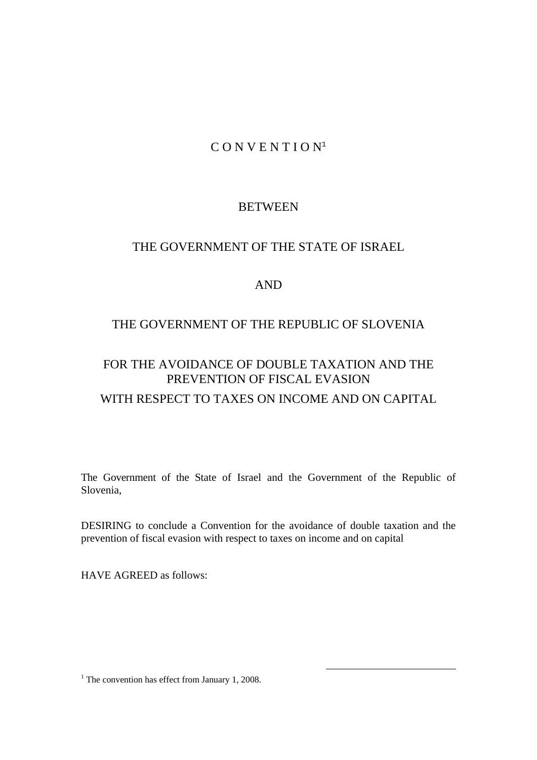# $C$  O N V E N T I O N<sup>1</sup>

# **BETWEEN**

# THE GOVERNMENT OF THE STATE OF ISRAEL

# AND

# THE GOVERNMENT OF THE REPUBLIC OF SLOVENIA

# FOR THE AVOIDANCE OF DOUBLE TAXATION AND THE PREVENTION OF FISCAL EVASION WITH RESPECT TO TAXES ON INCOME AND ON CAPITAL

The Government of the State of Israel and the Government of the Republic of Slovenia,

DESIRING to conclude a Convention for the avoidance of double taxation and the prevention of fiscal evasion with respect to taxes on income and on capital

HAVE AGREED as follows:

 <sup>1</sup> The convention has effect from January 1, 2008.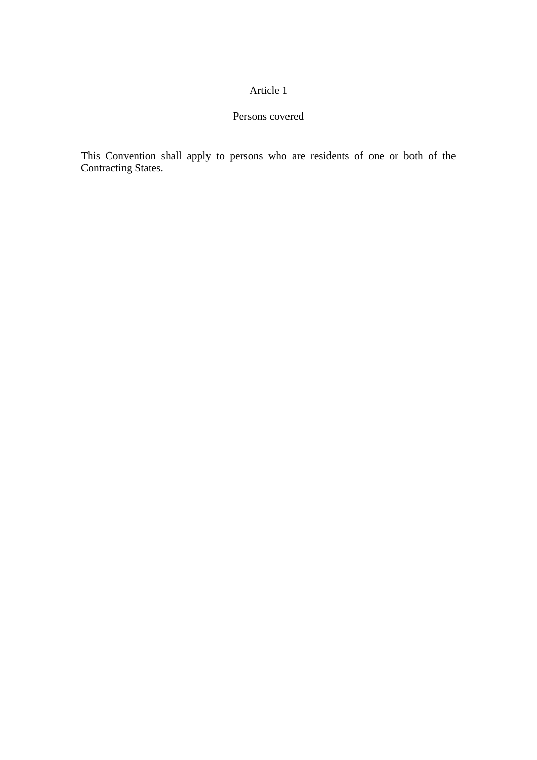# Persons covered

This Convention shall apply to persons who are residents of one or both of the Contracting States.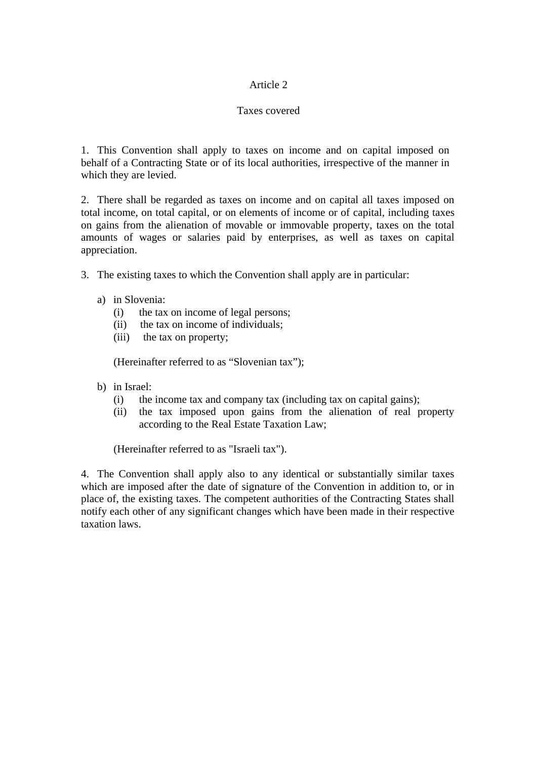### Taxes covered

1. This Convention shall apply to taxes on income and on capital imposed on behalf of a Contracting State or of its local authorities, irrespective of the manner in which they are levied.

2. There shall be regarded as taxes on income and on capital all taxes imposed on total income, on total capital, or on elements of income or of capital, including taxes on gains from the alienation of movable or immovable property, taxes on the total amounts of wages or salaries paid by enterprises, as well as taxes on capital appreciation.

- 3. The existing taxes to which the Convention shall apply are in particular:
	- a) in Slovenia:
		- (i) the tax on income of legal persons;
		- (ii) the tax on income of individuals;
		- (iii) the tax on property;

(Hereinafter referred to as "Slovenian tax");

- b) in Israel:
	- (i) the income tax and company tax (including tax on capital gains);
	- (ii) the tax imposed upon gains from the alienation of real property according to the Real Estate Taxation Law;

(Hereinafter referred to as "Israeli tax").

4. The Convention shall apply also to any identical or substantially similar taxes which are imposed after the date of signature of the Convention in addition to, or in place of, the existing taxes. The competent authorities of the Contracting States shall notify each other of any significant changes which have been made in their respective taxation laws.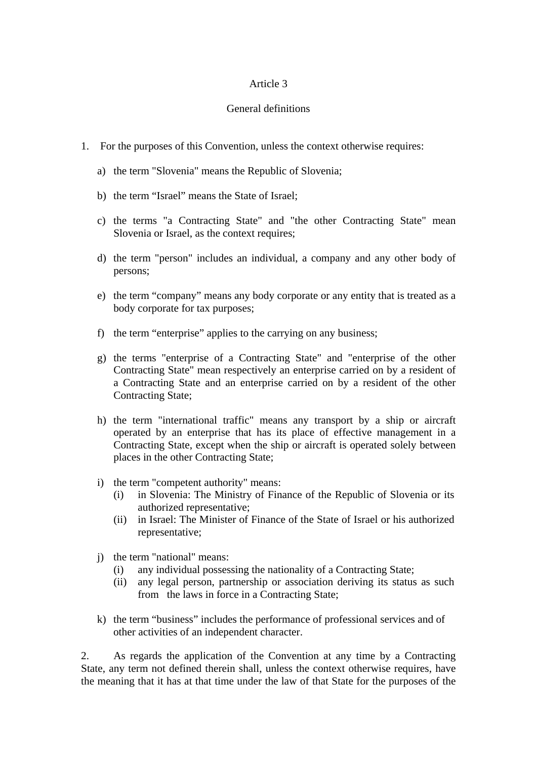## General definitions

- 1. For the purposes of this Convention, unless the context otherwise requires:
	- a) the term "Slovenia" means the Republic of Slovenia;
	- b) the term "Israel" means the State of Israel;
	- c) the terms "a Contracting State" and "the other Contracting State" mean Slovenia or Israel, as the context requires;
	- d) the term "person" includes an individual, a company and any other body of persons;
	- e) the term "company" means any body corporate or any entity that is treated as a body corporate for tax purposes;
	- f) the term "enterprise" applies to the carrying on any business;
	- g) the terms "enterprise of a Contracting State" and "enterprise of the other Contracting State" mean respectively an enterprise carried on by a resident of a Contracting State and an enterprise carried on by a resident of the other Contracting State;
	- h) the term "international traffic" means any transport by a ship or aircraft operated by an enterprise that has its place of effective management in a Contracting State, except when the ship or aircraft is operated solely between places in the other Contracting State;
	- i) the term "competent authority" means:
		- (i) in Slovenia: The Ministry of Finance of the Republic of Slovenia or its authorized representative;
		- (ii) in Israel: The Minister of Finance of the State of Israel or his authorized representative;
	- j) the term "national" means:
		- (i) any individual possessing the nationality of a Contracting State;
		- (ii) any legal person, partnership or association deriving its status as such from the laws in force in a Contracting State;
	- k) the term "business" includes the performance of professional services and of other activities of an independent character.

2. As regards the application of the Convention at any time by a Contracting State, any term not defined therein shall, unless the context otherwise requires, have the meaning that it has at that time under the law of that State for the purposes of the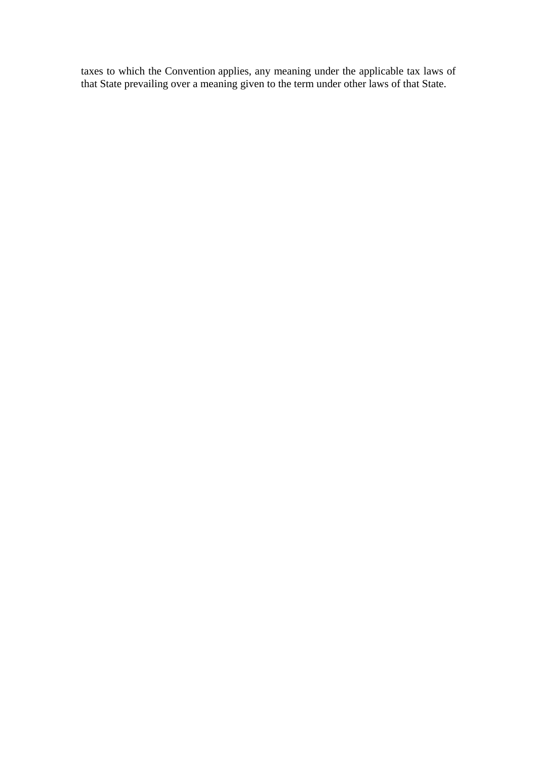taxes to which the Convention applies, any meaning under the applicable tax laws of that State prevailing over a meaning given to the term under other laws of that State.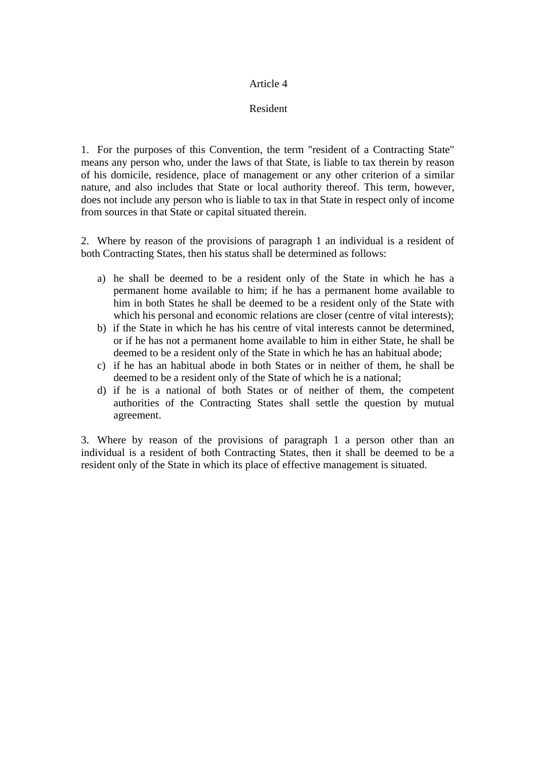#### Resident

1. For the purposes of this Convention, the term "resident of a Contracting State" means any person who, under the laws of that State, is liable to tax therein by reason of his domicile, residence, place of management or any other criterion of a similar nature, and also includes that State or local authority thereof. This term, however, does not include any person who is liable to tax in that State in respect only of income from sources in that State or capital situated therein.

2. Where by reason of the provisions of paragraph 1 an individual is a resident of both Contracting States, then his status shall be determined as follows:

- a) he shall be deemed to be a resident only of the State in which he has a permanent home available to him; if he has a permanent home available to him in both States he shall be deemed to be a resident only of the State with which his personal and economic relations are closer (centre of vital interests);
- b) if the State in which he has his centre of vital interests cannot be determined, or if he has not a permanent home available to him in either State, he shall be deemed to be a resident only of the State in which he has an habitual abode;
- c) if he has an habitual abode in both States or in neither of them, he shall be deemed to be a resident only of the State of which he is a national;
- d) if he is a national of both States or of neither of them, the competent authorities of the Contracting States shall settle the question by mutual agreement.

3. Where by reason of the provisions of paragraph 1 a person other than an individual is a resident of both Contracting States, then it shall be deemed to be a resident only of the State in which its place of effective management is situated.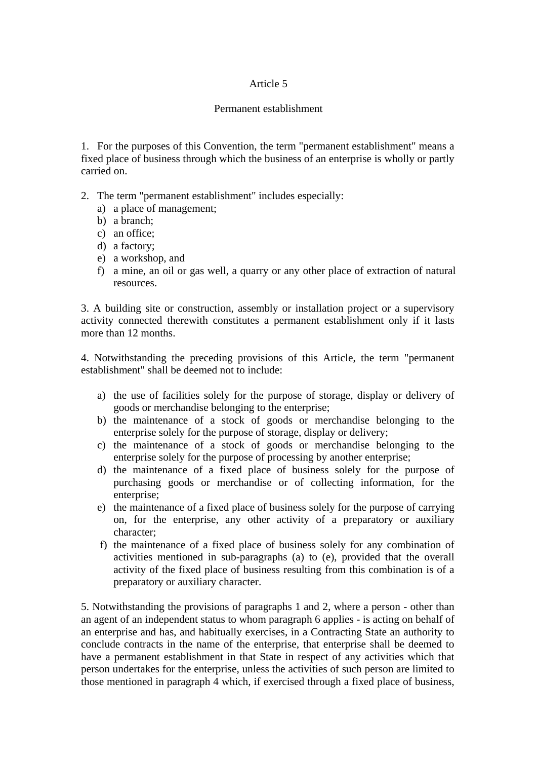### Permanent establishment

1. For the purposes of this Convention, the term "permanent establishment" means a fixed place of business through which the business of an enterprise is wholly or partly carried on.

- 2. The term "permanent establishment" includes especially:
	- a) a place of management;
	- b) a branch;
	- c) an office;
	- d) a factory;
	- e) a workshop, and
	- f) a mine, an oil or gas well, a quarry or any other place of extraction of natural resources.

3. A building site or construction, assembly or installation project or a supervisory activity connected therewith constitutes a permanent establishment only if it lasts more than 12 months.

4. Notwithstanding the preceding provisions of this Article, the term "permanent establishment" shall be deemed not to include:

- a) the use of facilities solely for the purpose of storage, display or delivery of goods or merchandise belonging to the enterprise;
- b) the maintenance of a stock of goods or merchandise belonging to the enterprise solely for the purpose of storage, display or delivery;
- c) the maintenance of a stock of goods or merchandise belonging to the enterprise solely for the purpose of processing by another enterprise;
- d) the maintenance of a fixed place of business solely for the purpose of purchasing goods or merchandise or of collecting information, for the enterprise;
- e) the maintenance of a fixed place of business solely for the purpose of carrying on, for the enterprise, any other activity of a preparatory or auxiliary character;
- f) the maintenance of a fixed place of business solely for any combination of activities mentioned in sub-paragraphs (a) to (e), provided that the overall activity of the fixed place of business resulting from this combination is of a preparatory or auxiliary character.

5. Notwithstanding the provisions of paragraphs 1 and 2, where a person - other than an agent of an independent status to whom paragraph 6 applies - is acting on behalf of an enterprise and has, and habitually exercises, in a Contracting State an authority to conclude contracts in the name of the enterprise, that enterprise shall be deemed to have a permanent establishment in that State in respect of any activities which that person undertakes for the enterprise, unless the activities of such person are limited to those mentioned in paragraph 4 which, if exercised through a fixed place of business,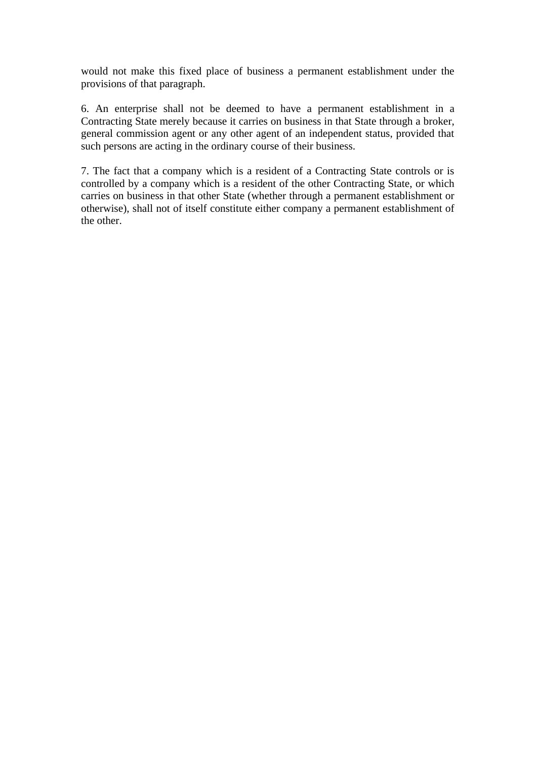would not make this fixed place of business a permanent establishment under the provisions of that paragraph.

6. An enterprise shall not be deemed to have a permanent establishment in a Contracting State merely because it carries on business in that State through a broker, general commission agent or any other agent of an independent status, provided that such persons are acting in the ordinary course of their business.

7. The fact that a company which is a resident of a Contracting State controls or is controlled by a company which is a resident of the other Contracting State, or which carries on business in that other State (whether through a permanent establishment or otherwise), shall not of itself constitute either company a permanent establishment of the other.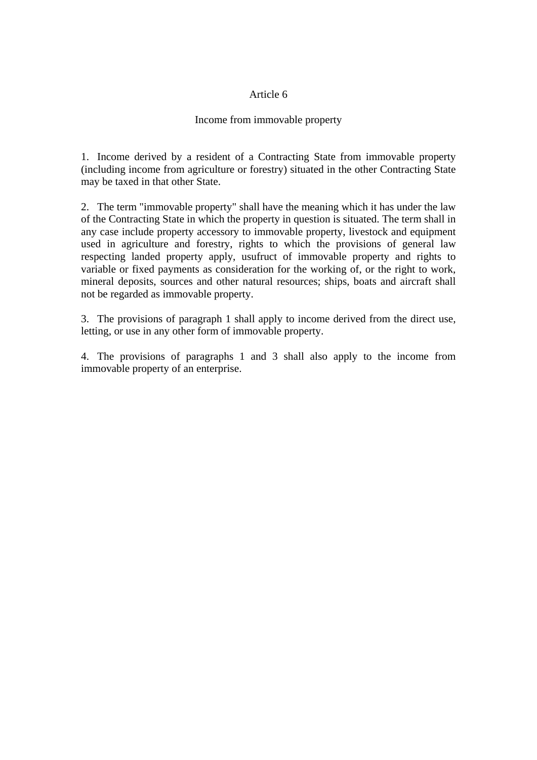# Income from immovable property

1. Income derived by a resident of a Contracting State from immovable property (including income from agriculture or forestry) situated in the other Contracting State may be taxed in that other State.

2. The term "immovable property" shall have the meaning which it has under the law of the Contracting State in which the property in question is situated. The term shall in any case include property accessory to immovable property, livestock and equipment used in agriculture and forestry, rights to which the provisions of general law respecting landed property apply, usufruct of immovable property and rights to variable or fixed payments as consideration for the working of, or the right to work, mineral deposits, sources and other natural resources; ships, boats and aircraft shall not be regarded as immovable property.

3. The provisions of paragraph 1 shall apply to income derived from the direct use, letting, or use in any other form of immovable property.

4. The provisions of paragraphs 1 and 3 shall also apply to the income from immovable property of an enterprise.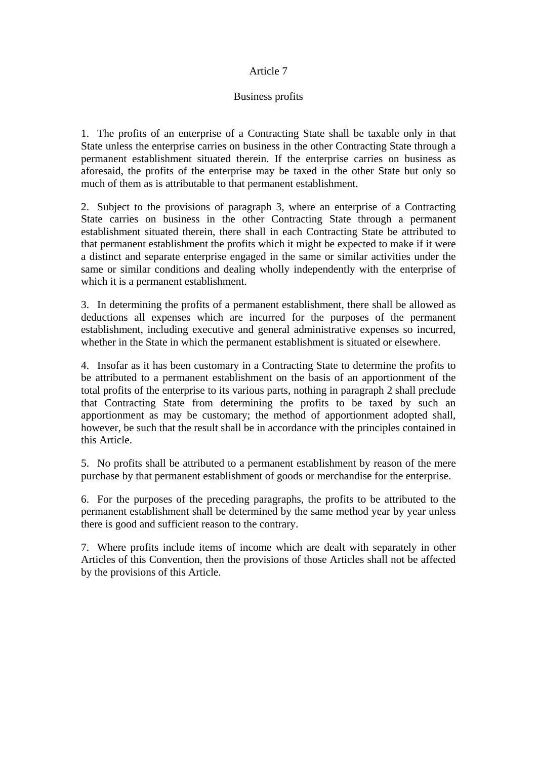## Business profits

1. The profits of an enterprise of a Contracting State shall be taxable only in that State unless the enterprise carries on business in the other Contracting State through a permanent establishment situated therein. If the enterprise carries on business as aforesaid, the profits of the enterprise may be taxed in the other State but only so much of them as is attributable to that permanent establishment.

2. Subject to the provisions of paragraph 3, where an enterprise of a Contracting State carries on business in the other Contracting State through a permanent establishment situated therein, there shall in each Contracting State be attributed to that permanent establishment the profits which it might be expected to make if it were a distinct and separate enterprise engaged in the same or similar activities under the same or similar conditions and dealing wholly independently with the enterprise of which it is a permanent establishment.

3. In determining the profits of a permanent establishment, there shall be allowed as deductions all expenses which are incurred for the purposes of the permanent establishment, including executive and general administrative expenses so incurred, whether in the State in which the permanent establishment is situated or elsewhere.

4. Insofar as it has been customary in a Contracting State to determine the profits to be attributed to a permanent establishment on the basis of an apportionment of the total profits of the enterprise to its various parts, nothing in paragraph 2 shall preclude that Contracting State from determining the profits to be taxed by such an apportionment as may be customary; the method of apportionment adopted shall, however, be such that the result shall be in accordance with the principles contained in this Article.

5. No profits shall be attributed to a permanent establishment by reason of the mere purchase by that permanent establishment of goods or merchandise for the enterprise.

6. For the purposes of the preceding paragraphs, the profits to be attributed to the permanent establishment shall be determined by the same method year by year unless there is good and sufficient reason to the contrary.

7. Where profits include items of income which are dealt with separately in other Articles of this Convention, then the provisions of those Articles shall not be affected by the provisions of this Article.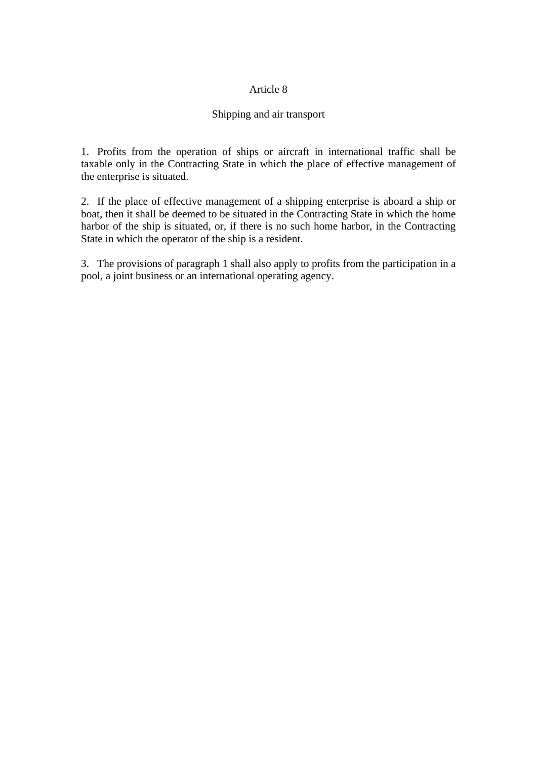# Shipping and air transport

1. Profits from the operation of ships or aircraft in international traffic shall be taxable only in the Contracting State in which the place of effective management of the enterprise is situated.

2. If the place of effective management of a shipping enterprise is aboard a ship or boat, then it shall be deemed to be situated in the Contracting State in which the home harbor of the ship is situated, or, if there is no such home harbor, in the Contracting State in which the operator of the ship is a resident.

3. The provisions of paragraph 1 shall also apply to profits from the participation in a pool, a joint business or an international operating agency.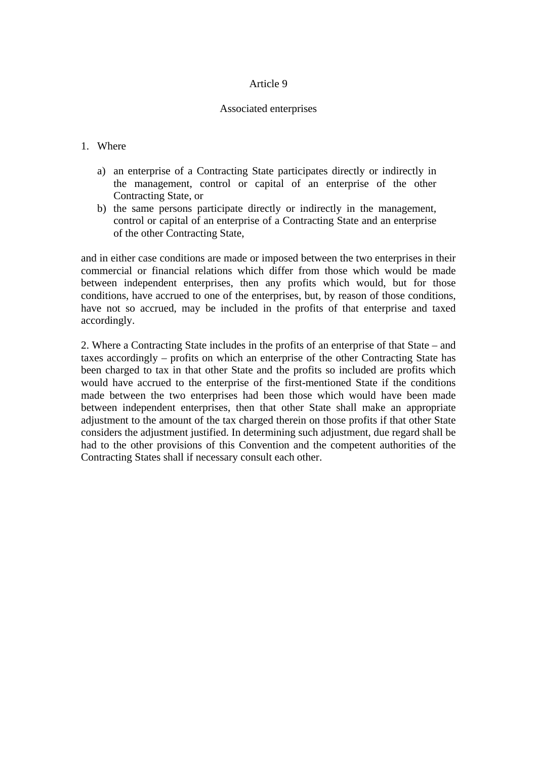#### Associated enterprises

#### 1. Where

- a) an enterprise of a Contracting State participates directly or indirectly in the management, control or capital of an enterprise of the other Contracting State, or
- b) the same persons participate directly or indirectly in the management, control or capital of an enterprise of a Contracting State and an enterprise of the other Contracting State,

and in either case conditions are made or imposed between the two enterprises in their commercial or financial relations which differ from those which would be made between independent enterprises, then any profits which would, but for those conditions, have accrued to one of the enterprises, but, by reason of those conditions, have not so accrued, may be included in the profits of that enterprise and taxed accordingly.

2. Where a Contracting State includes in the profits of an enterprise of that State – and taxes accordingly – profits on which an enterprise of the other Contracting State has been charged to tax in that other State and the profits so included are profits which would have accrued to the enterprise of the first-mentioned State if the conditions made between the two enterprises had been those which would have been made between independent enterprises, then that other State shall make an appropriate adjustment to the amount of the tax charged therein on those profits if that other State considers the adjustment justified. In determining such adjustment, due regard shall be had to the other provisions of this Convention and the competent authorities of the Contracting States shall if necessary consult each other.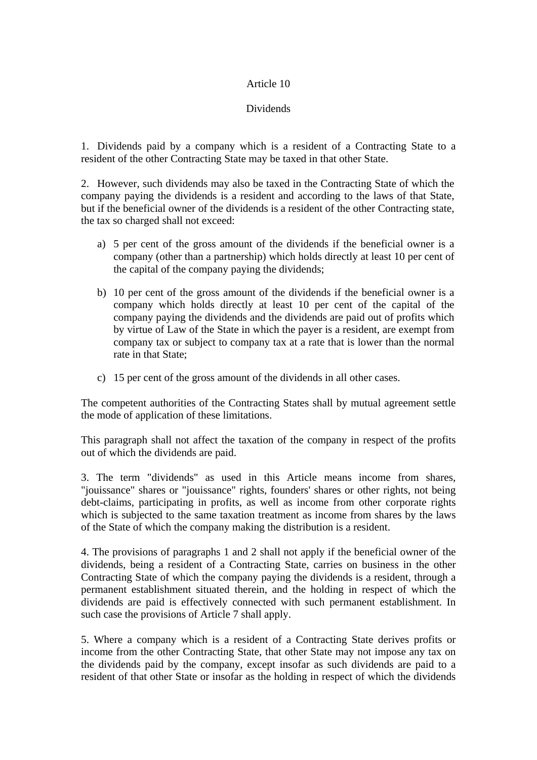# Dividends

1. Dividends paid by a company which is a resident of a Contracting State to a resident of the other Contracting State may be taxed in that other State.

2. However, such dividends may also be taxed in the Contracting State of which the company paying the dividends is a resident and according to the laws of that State, but if the beneficial owner of the dividends is a resident of the other Contracting state, the tax so charged shall not exceed:

- a) 5 per cent of the gross amount of the dividends if the beneficial owner is a company (other than a partnership) which holds directly at least 10 per cent of the capital of the company paying the dividends;
- b) 10 per cent of the gross amount of the dividends if the beneficial owner is a company which holds directly at least 10 per cent of the capital of the company paying the dividends and the dividends are paid out of profits which by virtue of Law of the State in which the payer is a resident, are exempt from company tax or subject to company tax at a rate that is lower than the normal rate in that State;
- c) 15 per cent of the gross amount of the dividends in all other cases.

The competent authorities of the Contracting States shall by mutual agreement settle the mode of application of these limitations.

This paragraph shall not affect the taxation of the company in respect of the profits out of which the dividends are paid.

3. The term "dividends" as used in this Article means income from shares, "jouissance" shares or "jouissance" rights, founders' shares or other rights, not being debt-claims, participating in profits, as well as income from other corporate rights which is subjected to the same taxation treatment as income from shares by the laws of the State of which the company making the distribution is a resident.

4. The provisions of paragraphs 1 and 2 shall not apply if the beneficial owner of the dividends, being a resident of a Contracting State, carries on business in the other Contracting State of which the company paying the dividends is a resident, through a permanent establishment situated therein, and the holding in respect of which the dividends are paid is effectively connected with such permanent establishment. In such case the provisions of Article 7 shall apply.

5. Where a company which is a resident of a Contracting State derives profits or income from the other Contracting State, that other State may not impose any tax on the dividends paid by the company, except insofar as such dividends are paid to a resident of that other State or insofar as the holding in respect of which the dividends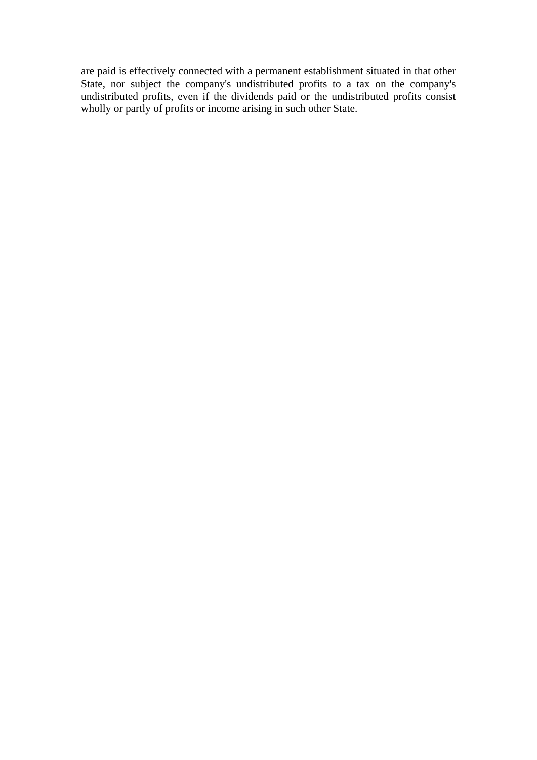are paid is effectively connected with a permanent establishment situated in that other State, nor subject the company's undistributed profits to a tax on the company's undistributed profits, even if the dividends paid or the undistributed profits consist wholly or partly of profits or income arising in such other State.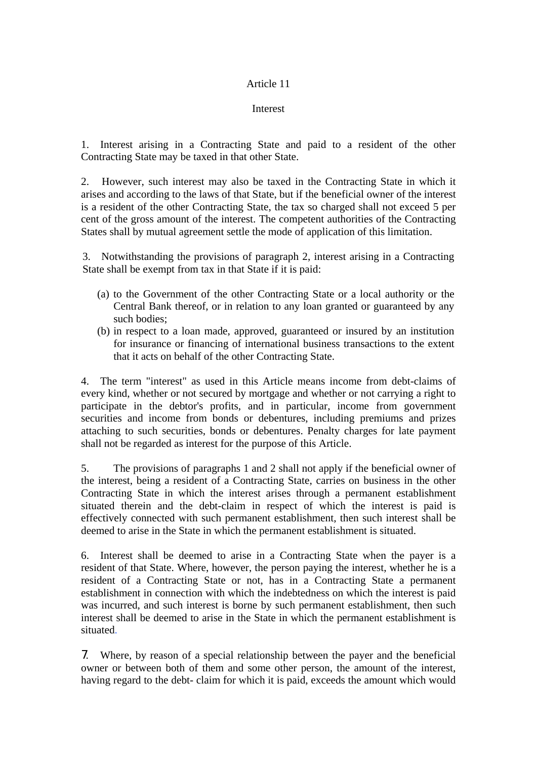## Interest

1. Interest arising in a Contracting State and paid to a resident of the other Contracting State may be taxed in that other State.

2. However, such interest may also be taxed in the Contracting State in which it arises and according to the laws of that State, but if the beneficial owner of the interest is a resident of the other Contracting State, the tax so charged shall not exceed 5 per cent of the gross amount of the interest. The competent authorities of the Contracting States shall by mutual agreement settle the mode of application of this limitation.

3. Notwithstanding the provisions of paragraph 2, interest arising in a Contracting State shall be exempt from tax in that State if it is paid:

- (a) to the Government of the other Contracting State or a local authority or the Central Bank thereof, or in relation to any loan granted or guaranteed by any such bodies;
- (b) in respect to a loan made, approved, guaranteed or insured by an institution for insurance or financing of international business transactions to the extent that it acts on behalf of the other Contracting State.

4. The term "interest" as used in this Article means income from debt-claims of every kind, whether or not secured by mortgage and whether or not carrying a right to participate in the debtor's profits, and in particular, income from government securities and income from bonds or debentures, including premiums and prizes attaching to such securities, bonds or debentures. Penalty charges for late payment shall not be regarded as interest for the purpose of this Article.

5. The provisions of paragraphs 1 and 2 shall not apply if the beneficial owner of the interest, being a resident of a Contracting State, carries on business in the other Contracting State in which the interest arises through a permanent establishment situated therein and the debt-claim in respect of which the interest is paid is effectively connected with such permanent establishment, then such interest shall be deemed to arise in the State in which the permanent establishment is situated.

6. Interest shall be deemed to arise in a Contracting State when the payer is a resident of that State. Where, however, the person paying the interest, whether he is a resident of a Contracting State or not, has in a Contracting State a permanent establishment in connection with which the indebtedness on which the interest is paid was incurred, and such interest is borne by such permanent establishment, then such interest shall be deemed to arise in the State in which the permanent establishment is situated.

7. Where, by reason of a special relationship between the payer and the beneficial owner or between both of them and some other person, the amount of the interest, having regard to the debt- claim for which it is paid, exceeds the amount which would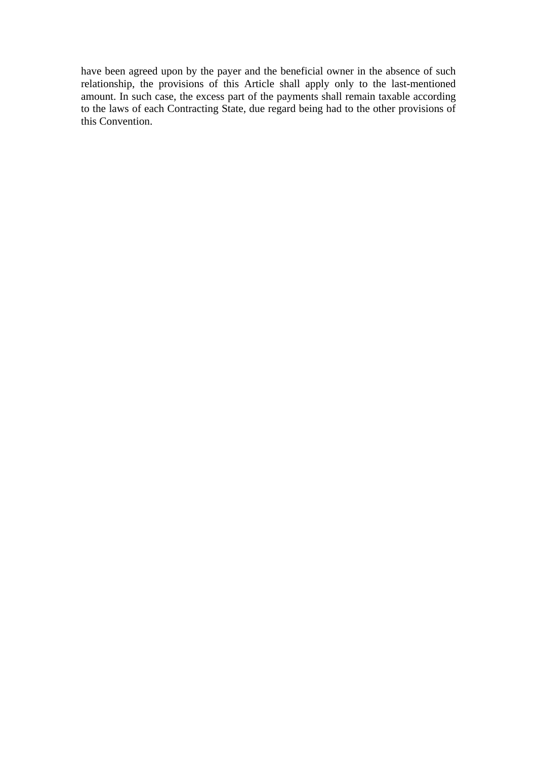have been agreed upon by the payer and the beneficial owner in the absence of such relationship, the provisions of this Article shall apply only to the last-mentioned amount. In such case, the excess part of the payments shall remain taxable according to the laws of each Contracting State, due regard being had to the other provisions of this Convention.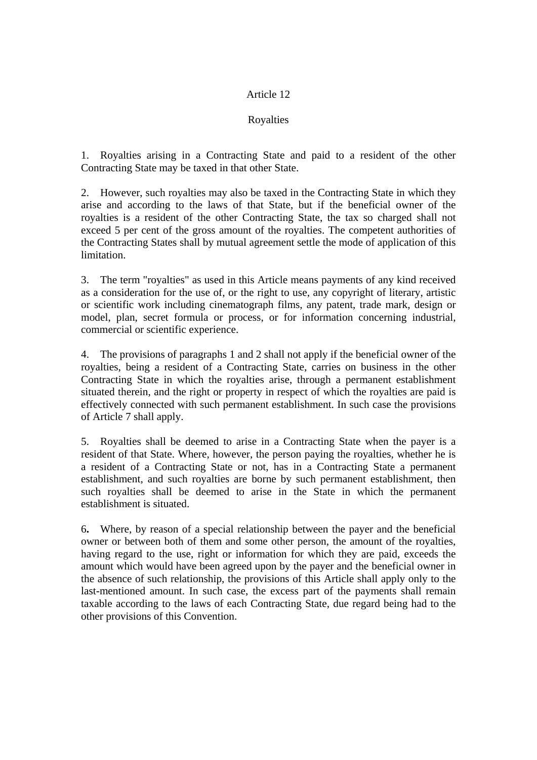# Royalties

1. Royalties arising in a Contracting State and paid to a resident of the other Contracting State may be taxed in that other State.

2. However, such royalties may also be taxed in the Contracting State in which they arise and according to the laws of that State, but if the beneficial owner of the royalties is a resident of the other Contracting State, the tax so charged shall not exceed 5 per cent of the gross amount of the royalties. The competent authorities of the Contracting States shall by mutual agreement settle the mode of application of this limitation.

3. The term "royalties" as used in this Article means payments of any kind received as a consideration for the use of, or the right to use, any copyright of literary, artistic or scientific work including cinematograph films, any patent, trade mark, design or model, plan, secret formula or process, or for information concerning industrial, commercial or scientific experience.

4. The provisions of paragraphs 1 and 2 shall not apply if the beneficial owner of the royalties, being a resident of a Contracting State, carries on business in the other Contracting State in which the royalties arise, through a permanent establishment situated therein, and the right or property in respect of which the royalties are paid is effectively connected with such permanent establishment. In such case the provisions of Article 7 shall apply.

5. Royalties shall be deemed to arise in a Contracting State when the payer is a resident of that State. Where, however, the person paying the royalties, whether he is a resident of a Contracting State or not, has in a Contracting State a permanent establishment, and such royalties are borne by such permanent establishment, then such royalties shall be deemed to arise in the State in which the permanent establishment is situated.

6**.** Where, by reason of a special relationship between the payer and the beneficial owner or between both of them and some other person, the amount of the royalties, having regard to the use, right or information for which they are paid, exceeds the amount which would have been agreed upon by the payer and the beneficial owner in the absence of such relationship, the provisions of this Article shall apply only to the last-mentioned amount. In such case, the excess part of the payments shall remain taxable according to the laws of each Contracting State, due regard being had to the other provisions of this Convention.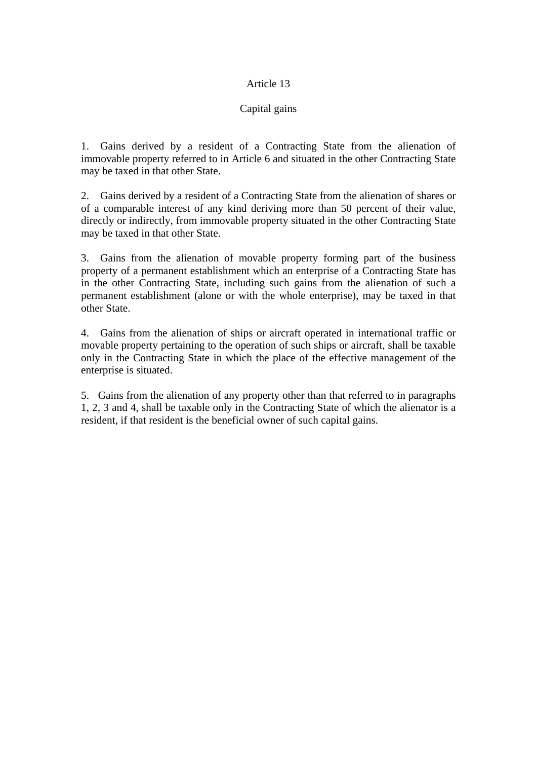# Capital gains

1. Gains derived by a resident of a Contracting State from the alienation of immovable property referred to in Article 6 and situated in the other Contracting State may be taxed in that other State.

2. Gains derived by a resident of a Contracting State from the alienation of shares or of a comparable interest of any kind deriving more than 50 percent of their value, directly or indirectly, from immovable property situated in the other Contracting State may be taxed in that other State.

3. Gains from the alienation of movable property forming part of the business property of a permanent establishment which an enterprise of a Contracting State has in the other Contracting State, including such gains from the alienation of such a permanent establishment (alone or with the whole enterprise), may be taxed in that other State.

4. Gains from the alienation of ships or aircraft operated in international traffic or movable property pertaining to the operation of such ships or aircraft, shall be taxable only in the Contracting State in which the place of the effective management of the enterprise is situated.

5. Gains from the alienation of any property other than that referred to in paragraphs 1, 2, 3 and 4, shall be taxable only in the Contracting State of which the alienator is a resident, if that resident is the beneficial owner of such capital gains.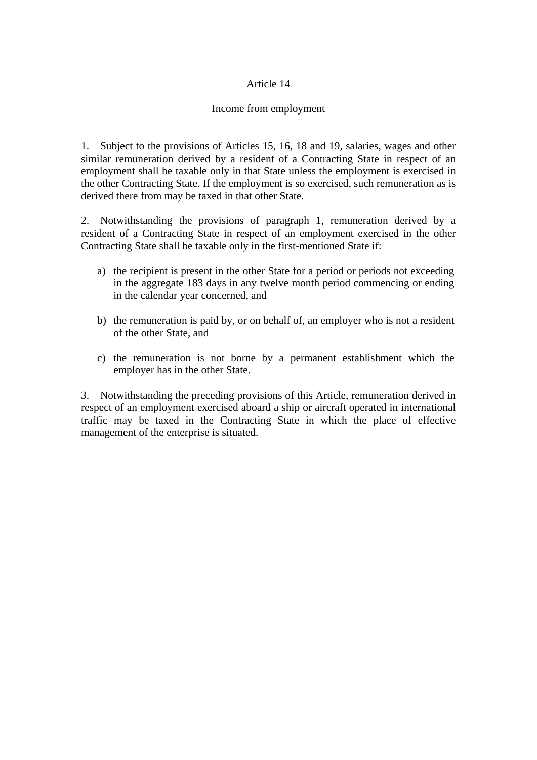### Income from employment

1. Subject to the provisions of Articles 15, 16, 18 and 19, salaries, wages and other similar remuneration derived by a resident of a Contracting State in respect of an employment shall be taxable only in that State unless the employment is exercised in the other Contracting State. If the employment is so exercised, such remuneration as is derived there from may be taxed in that other State.

2. Notwithstanding the provisions of paragraph 1, remuneration derived by a resident of a Contracting State in respect of an employment exercised in the other Contracting State shall be taxable only in the first-mentioned State if:

- a) the recipient is present in the other State for a period or periods not exceeding in the aggregate 183 days in any twelve month period commencing or ending in the calendar year concerned, and
- b) the remuneration is paid by, or on behalf of, an employer who is not a resident of the other State, and
- c) the remuneration is not borne by a permanent establishment which the employer has in the other State.

3. Notwithstanding the preceding provisions of this Article, remuneration derived in respect of an employment exercised aboard a ship or aircraft operated in international traffic may be taxed in the Contracting State in which the place of effective management of the enterprise is situated.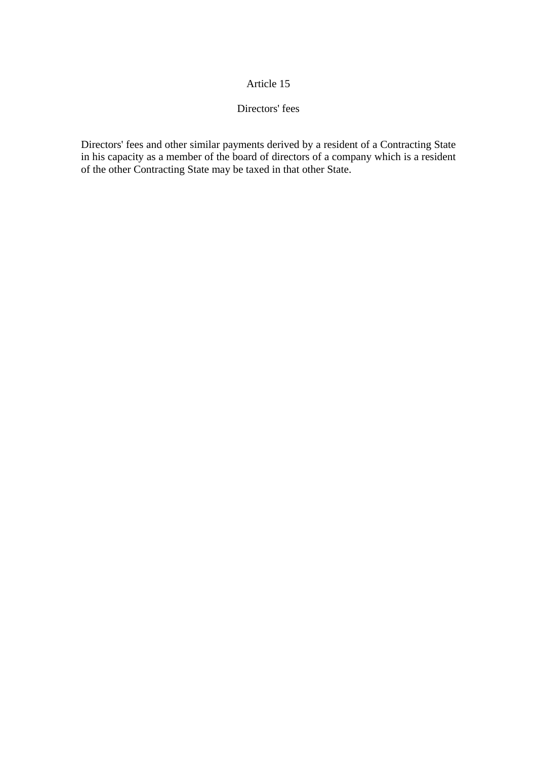# Directors' fees

Directors' fees and other similar payments derived by a resident of a Contracting State in his capacity as a member of the board of directors of a company which is a resident of the other Contracting State may be taxed in that other State.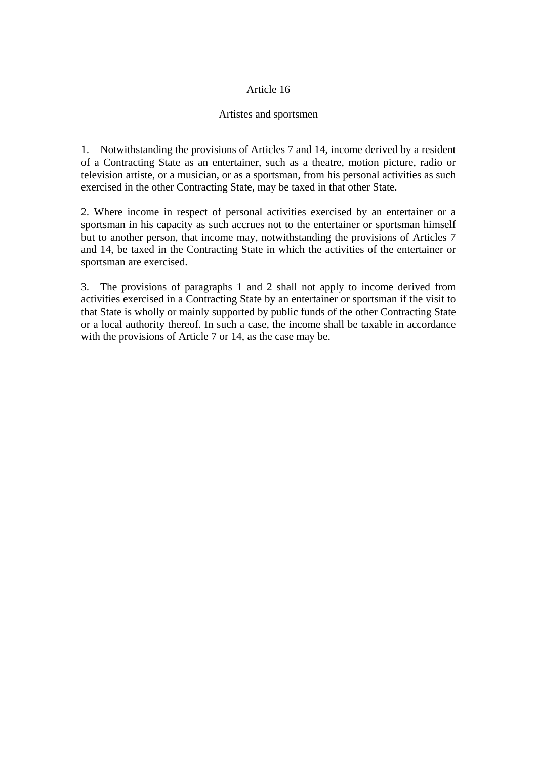#### Artistes and sportsmen

1. Notwithstanding the provisions of Articles 7 and 14, income derived by a resident of a Contracting State as an entertainer, such as a theatre, motion picture, radio or television artiste, or a musician, or as a sportsman, from his personal activities as such exercised in the other Contracting State, may be taxed in that other State.

2. Where income in respect of personal activities exercised by an entertainer or a sportsman in his capacity as such accrues not to the entertainer or sportsman himself but to another person, that income may, notwithstanding the provisions of Articles 7 and 14, be taxed in the Contracting State in which the activities of the entertainer or sportsman are exercised.

3. The provisions of paragraphs 1 and 2 shall not apply to income derived from activities exercised in a Contracting State by an entertainer or sportsman if the visit to that State is wholly or mainly supported by public funds of the other Contracting State or a local authority thereof. In such a case, the income shall be taxable in accordance with the provisions of Article 7 or 14, as the case may be.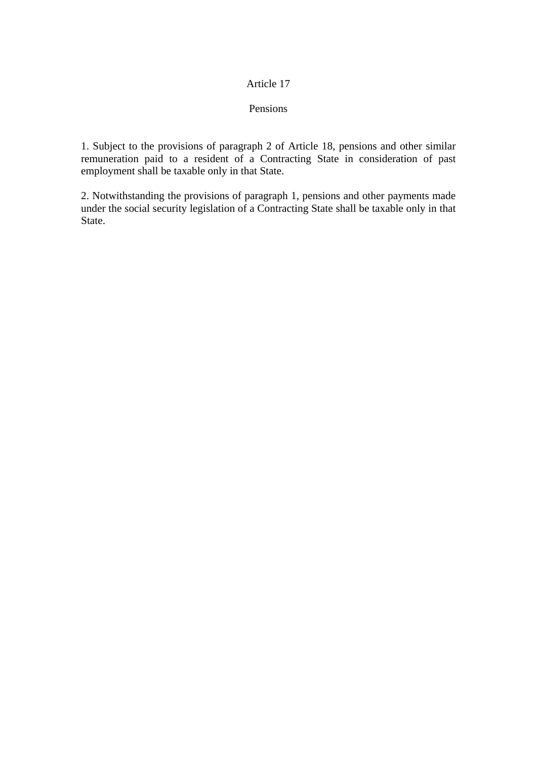# Pensions

1. Subject to the provisions of paragraph 2 of Article 18, pensions and other similar remuneration paid to a resident of a Contracting State in consideration of past employment shall be taxable only in that State.

2. Notwithstanding the provisions of paragraph 1, pensions and other payments made under the social security legislation of a Contracting State shall be taxable only in that State.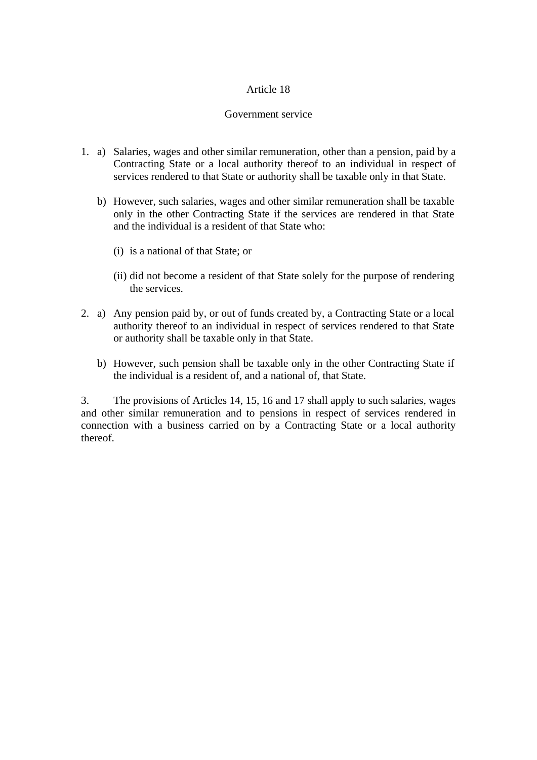### Government service

- 1. a) Salaries, wages and other similar remuneration, other than a pension, paid by a Contracting State or a local authority thereof to an individual in respect of services rendered to that State or authority shall be taxable only in that State.
	- b) However, such salaries, wages and other similar remuneration shall be taxable only in the other Contracting State if the services are rendered in that State and the individual is a resident of that State who:
		- (i) is a national of that State; or
		- (ii) did not become a resident of that State solely for the purpose of rendering the services.
- 2. a) Any pension paid by, or out of funds created by, a Contracting State or a local authority thereof to an individual in respect of services rendered to that State or authority shall be taxable only in that State.
	- b) However, such pension shall be taxable only in the other Contracting State if the individual is a resident of, and a national of, that State.

3. The provisions of Articles 14, 15, 16 and 17 shall apply to such salaries, wages and other similar remuneration and to pensions in respect of services rendered in connection with a business carried on by a Contracting State or a local authority thereof.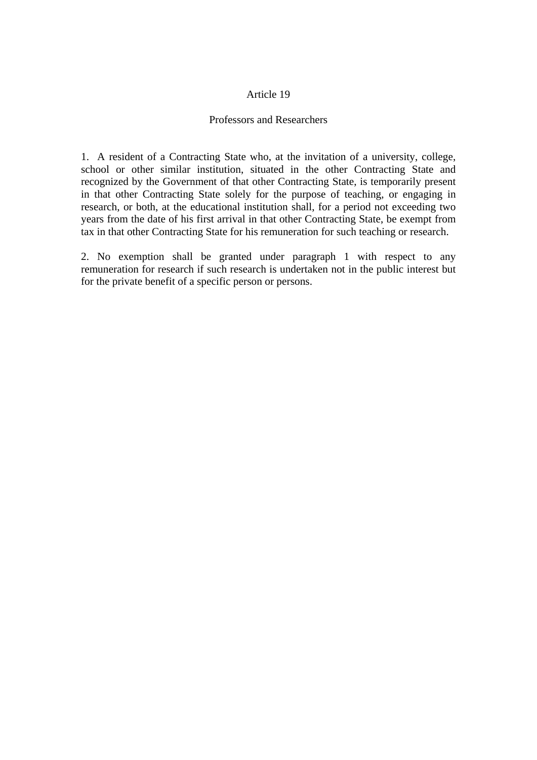#### Professors and Researchers

1. A resident of a Contracting State who, at the invitation of a university, college, school or other similar institution, situated in the other Contracting State and recognized by the Government of that other Contracting State, is temporarily present in that other Contracting State solely for the purpose of teaching, or engaging in research, or both, at the educational institution shall, for a period not exceeding two years from the date of his first arrival in that other Contracting State, be exempt from tax in that other Contracting State for his remuneration for such teaching or research.

2. No exemption shall be granted under paragraph 1 with respect to any remuneration for research if such research is undertaken not in the public interest but for the private benefit of a specific person or persons.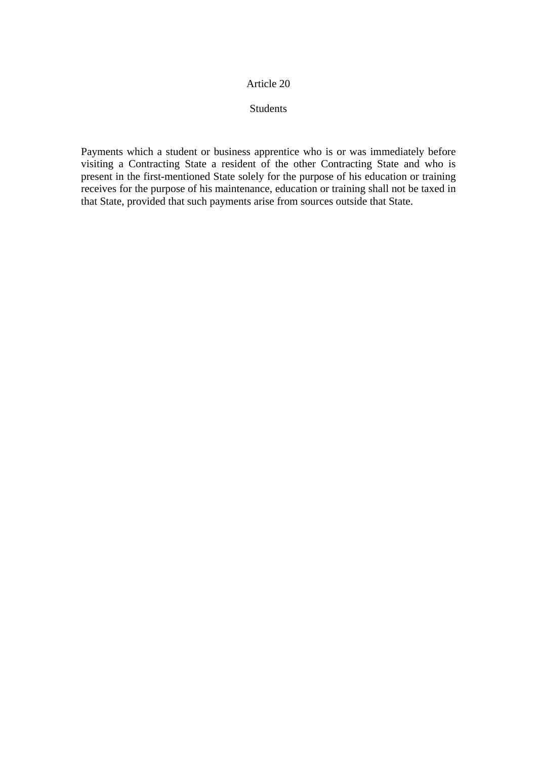# Students

Payments which a student or business apprentice who is or was immediately before visiting a Contracting State a resident of the other Contracting State and who is present in the first-mentioned State solely for the purpose of his education or training receives for the purpose of his maintenance, education or training shall not be taxed in that State, provided that such payments arise from sources outside that State.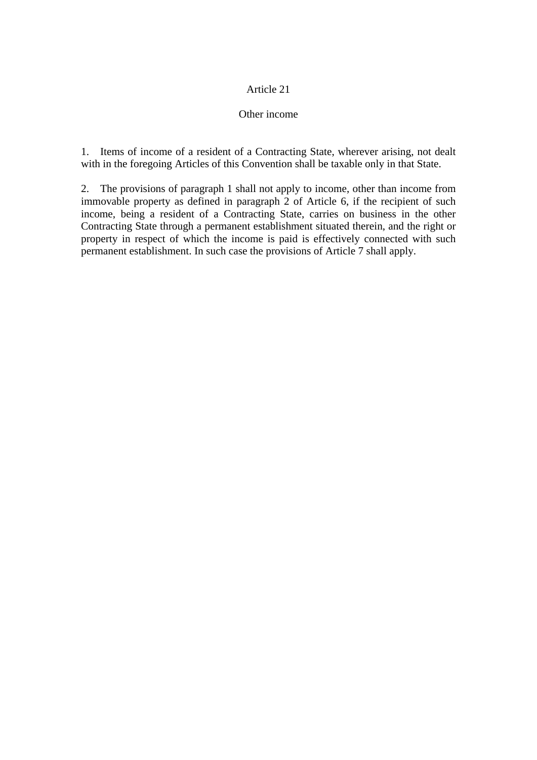### Other income

1. Items of income of a resident of a Contracting State, wherever arising, not dealt with in the foregoing Articles of this Convention shall be taxable only in that State.

2. The provisions of paragraph 1 shall not apply to income, other than income from immovable property as defined in paragraph 2 of Article 6, if the recipient of such income, being a resident of a Contracting State, carries on business in the other Contracting State through a permanent establishment situated therein, and the right or property in respect of which the income is paid is effectively connected with such permanent establishment. In such case the provisions of Article 7 shall apply.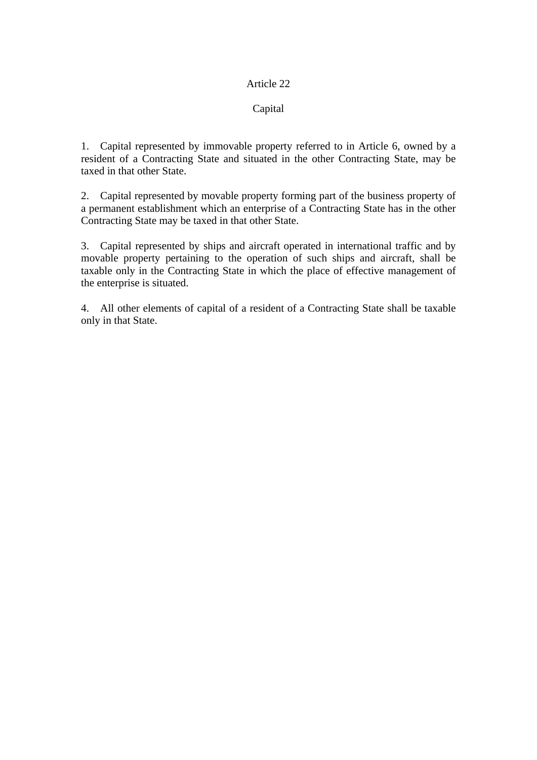# Capital

1. Capital represented by immovable property referred to in Article 6, owned by a resident of a Contracting State and situated in the other Contracting State, may be taxed in that other State.

2. Capital represented by movable property forming part of the business property of a permanent establishment which an enterprise of a Contracting State has in the other Contracting State may be taxed in that other State.

3. Capital represented by ships and aircraft operated in international traffic and by movable property pertaining to the operation of such ships and aircraft, shall be taxable only in the Contracting State in which the place of effective management of the enterprise is situated.

4. All other elements of capital of a resident of a Contracting State shall be taxable only in that State.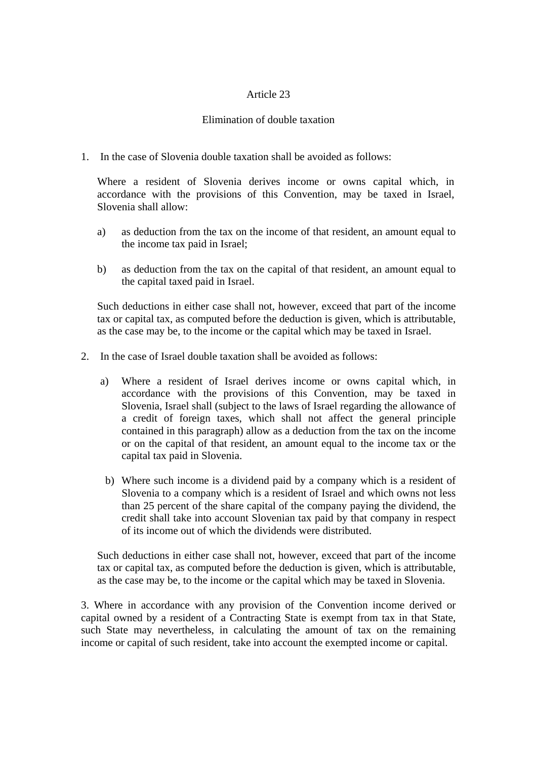# Elimination of double taxation

1. In the case of Slovenia double taxation shall be avoided as follows:

Where a resident of Slovenia derives income or owns capital which, in accordance with the provisions of this Convention, may be taxed in Israel, Slovenia shall allow:

- a) as deduction from the tax on the income of that resident, an amount equal to the income tax paid in Israel;
- b) as deduction from the tax on the capital of that resident, an amount equal to the capital taxed paid in Israel.

Such deductions in either case shall not, however, exceed that part of the income tax or capital tax, as computed before the deduction is given, which is attributable, as the case may be, to the income or the capital which may be taxed in Israel.

- 2. In the case of Israel double taxation shall be avoided as follows:
	- a) Where a resident of Israel derives income or owns capital which, in accordance with the provisions of this Convention, may be taxed in Slovenia, Israel shall (subject to the laws of Israel regarding the allowance of a credit of foreign taxes, which shall not affect the general principle contained in this paragraph) allow as a deduction from the tax on the income or on the capital of that resident, an amount equal to the income tax or the capital tax paid in Slovenia.
	- b) Where such income is a dividend paid by a company which is a resident of Slovenia to a company which is a resident of Israel and which owns not less than 25 percent of the share capital of the company paying the dividend, the credit shall take into account Slovenian tax paid by that company in respect of its income out of which the dividends were distributed.

Such deductions in either case shall not, however, exceed that part of the income tax or capital tax, as computed before the deduction is given, which is attributable, as the case may be, to the income or the capital which may be taxed in Slovenia.

3. Where in accordance with any provision of the Convention income derived or capital owned by a resident of a Contracting State is exempt from tax in that State, such State may nevertheless, in calculating the amount of tax on the remaining income or capital of such resident, take into account the exempted income or capital.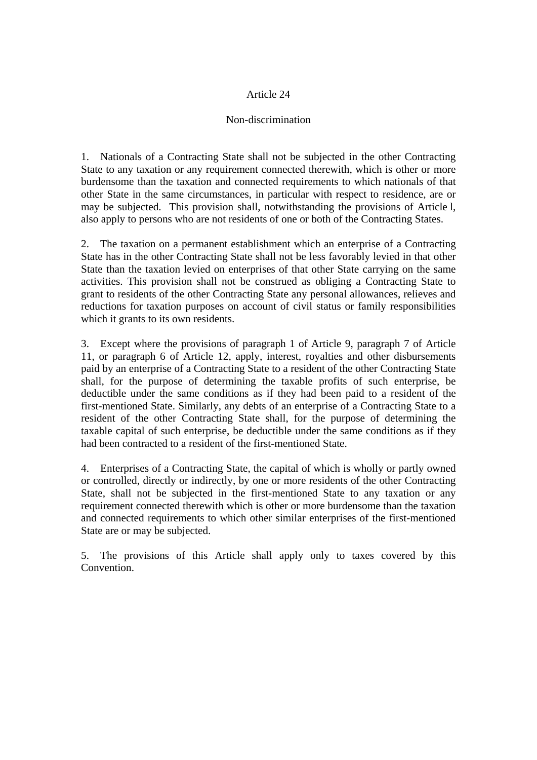# Non-discrimination

1. Nationals of a Contracting State shall not be subjected in the other Contracting State to any taxation or any requirement connected therewith, which is other or more burdensome than the taxation and connected requirements to which nationals of that other State in the same circumstances, in particular with respect to residence, are or may be subjected. This provision shall, notwithstanding the provisions of Article l, also apply to persons who are not residents of one or both of the Contracting States.

2. The taxation on a permanent establishment which an enterprise of a Contracting State has in the other Contracting State shall not be less favorably levied in that other State than the taxation levied on enterprises of that other State carrying on the same activities. This provision shall not be construed as obliging a Contracting State to grant to residents of the other Contracting State any personal allowances, relieves and reductions for taxation purposes on account of civil status or family responsibilities which it grants to its own residents.

3. Except where the provisions of paragraph 1 of Article 9, paragraph 7 of Article 11, or paragraph 6 of Article 12, apply, interest, royalties and other disbursements paid by an enterprise of a Contracting State to a resident of the other Contracting State shall, for the purpose of determining the taxable profits of such enterprise, be deductible under the same conditions as if they had been paid to a resident of the first-mentioned State. Similarly, any debts of an enterprise of a Contracting State to a resident of the other Contracting State shall, for the purpose of determining the taxable capital of such enterprise, be deductible under the same conditions as if they had been contracted to a resident of the first-mentioned State.

4. Enterprises of a Contracting State, the capital of which is wholly or partly owned or controlled, directly or indirectly, by one or more residents of the other Contracting State, shall not be subjected in the first-mentioned State to any taxation or any requirement connected therewith which is other or more burdensome than the taxation and connected requirements to which other similar enterprises of the first-mentioned State are or may be subjected.

5. The provisions of this Article shall apply only to taxes covered by this Convention.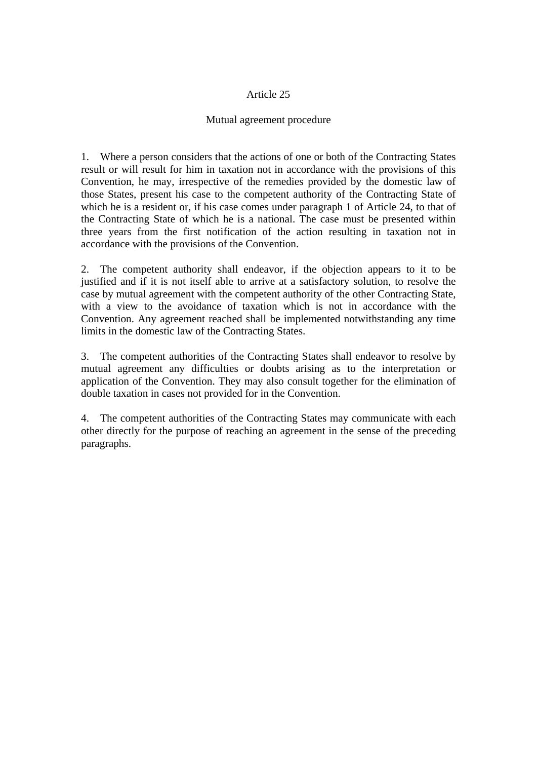### Mutual agreement procedure

1. Where a person considers that the actions of one or both of the Contracting States result or will result for him in taxation not in accordance with the provisions of this Convention, he may, irrespective of the remedies provided by the domestic law of those States, present his case to the competent authority of the Contracting State of which he is a resident or, if his case comes under paragraph 1 of Article 24, to that of the Contracting State of which he is a national. The case must be presented within three years from the first notification of the action resulting in taxation not in accordance with the provisions of the Convention.

2. The competent authority shall endeavor, if the objection appears to it to be justified and if it is not itself able to arrive at a satisfactory solution, to resolve the case by mutual agreement with the competent authority of the other Contracting State, with a view to the avoidance of taxation which is not in accordance with the Convention. Any agreement reached shall be implemented notwithstanding any time limits in the domestic law of the Contracting States.

3. The competent authorities of the Contracting States shall endeavor to resolve by mutual agreement any difficulties or doubts arising as to the interpretation or application of the Convention. They may also consult together for the elimination of double taxation in cases not provided for in the Convention.

4. The competent authorities of the Contracting States may communicate with each other directly for the purpose of reaching an agreement in the sense of the preceding paragraphs.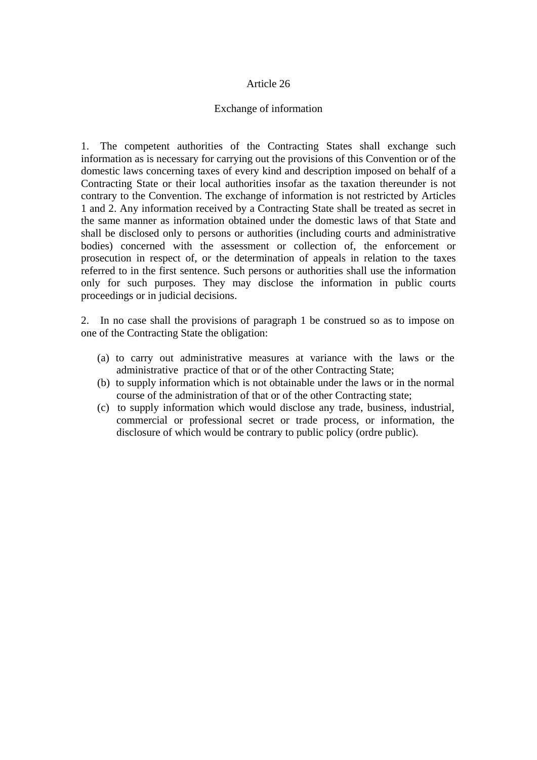## Exchange of information

1. The competent authorities of the Contracting States shall exchange such information as is necessary for carrying out the provisions of this Convention or of the domestic laws concerning taxes of every kind and description imposed on behalf of a Contracting State or their local authorities insofar as the taxation thereunder is not contrary to the Convention. The exchange of information is not restricted by Articles 1 and 2. Any information received by a Contracting State shall be treated as secret in the same manner as information obtained under the domestic laws of that State and shall be disclosed only to persons or authorities (including courts and administrative bodies) concerned with the assessment or collection of, the enforcement or prosecution in respect of, or the determination of appeals in relation to the taxes referred to in the first sentence. Such persons or authorities shall use the information only for such purposes. They may disclose the information in public courts proceedings or in judicial decisions.

2. In no case shall the provisions of paragraph 1 be construed so as to impose on one of the Contracting State the obligation:

- (a) to carry out administrative measures at variance with the laws or the administrative practice of that or of the other Contracting State;
- (b) to supply information which is not obtainable under the laws or in the normal course of the administration of that or of the other Contracting state;
- (c) to supply information which would disclose any trade, business, industrial, commercial or professional secret or trade process, or information, the disclosure of which would be contrary to public policy (ordre public).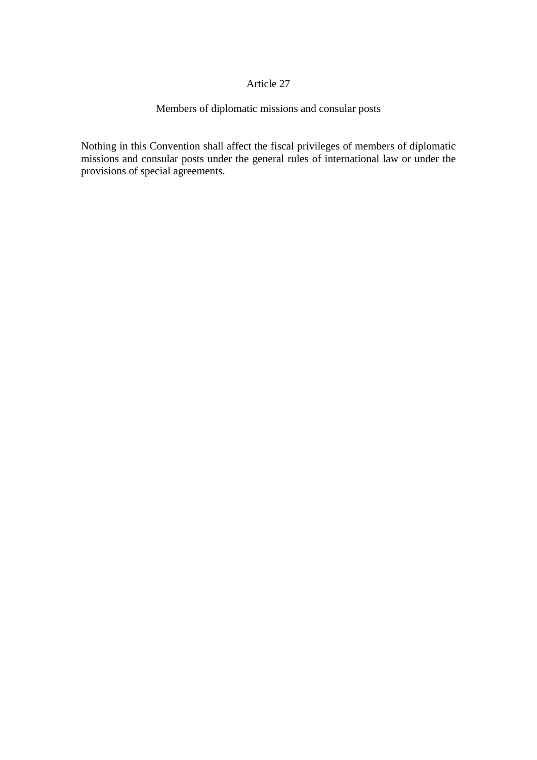# Members of diplomatic missions and consular posts

Nothing in this Convention shall affect the fiscal privileges of members of diplomatic missions and consular posts under the general rules of international law or under the provisions of special agreements.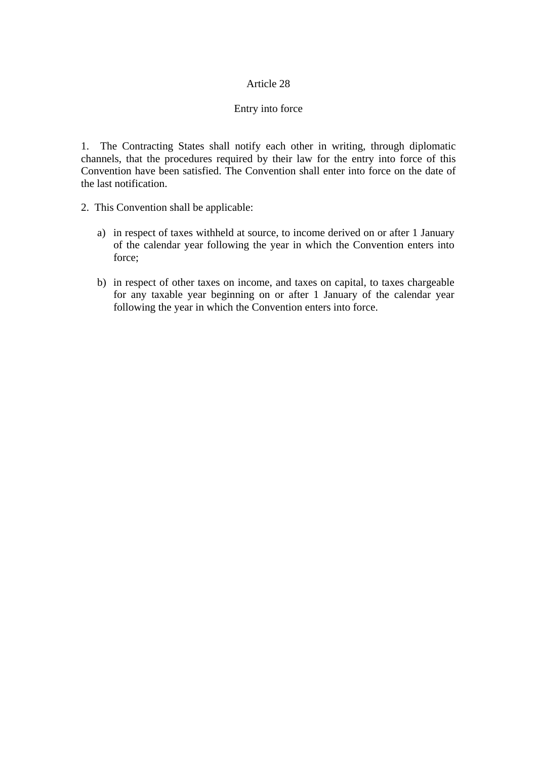# Entry into force

1. The Contracting States shall notify each other in writing, through diplomatic channels, that the procedures required by their law for the entry into force of this Convention have been satisfied. The Convention shall enter into force on the date of the last notification.

- 2. This Convention shall be applicable:
	- a) in respect of taxes withheld at source, to income derived on or after 1 January of the calendar year following the year in which the Convention enters into force;
	- b) in respect of other taxes on income, and taxes on capital, to taxes chargeable for any taxable year beginning on or after 1 January of the calendar year following the year in which the Convention enters into force.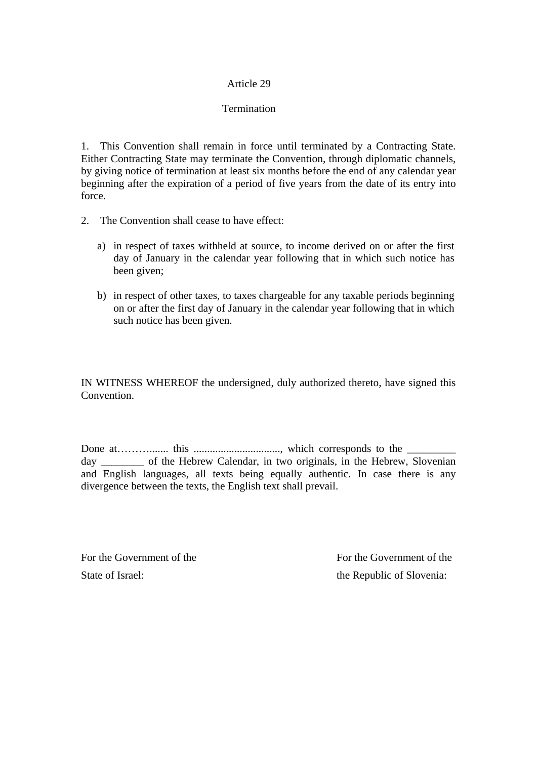## **Termination**

1. This Convention shall remain in force until terminated by a Contracting State. Either Contracting State may terminate the Convention, through diplomatic channels, by giving notice of termination at least six months before the end of any calendar year beginning after the expiration of a period of five years from the date of its entry into force.

- 2. The Convention shall cease to have effect:
	- a) in respect of taxes withheld at source, to income derived on or after the first day of January in the calendar year following that in which such notice has been given;
	- b) in respect of other taxes, to taxes chargeable for any taxable periods beginning on or after the first day of January in the calendar year following that in which such notice has been given.

IN WITNESS WHEREOF the undersigned, duly authorized thereto, have signed this Convention.

Done at………....... this ................................, which corresponds to the \_\_\_\_\_\_\_\_\_ day \_\_\_\_\_\_\_\_ of the Hebrew Calendar, in two originals, in the Hebrew, Slovenian and English languages, all texts being equally authentic. In case there is any divergence between the texts, the English text shall prevail.

State of Israel: the Republic of Slovenia:

For the Government of the Forest Covernment of the Forest Property For the Government of the Forest Property For the Government of the Forest Property Forest Property Forest Property Forest Property Forest Property Forest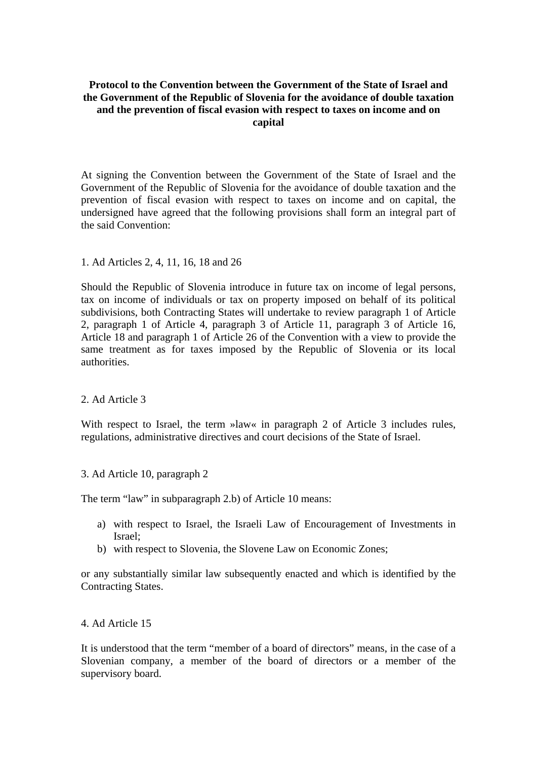# **Protocol to the Convention between the Government of the State of Israel and the Government of the Republic of Slovenia for the avoidance of double taxation and the prevention of fiscal evasion with respect to taxes on income and on capital**

At signing the Convention between the Government of the State of Israel and the Government of the Republic of Slovenia for the avoidance of double taxation and the prevention of fiscal evasion with respect to taxes on income and on capital, the undersigned have agreed that the following provisions shall form an integral part of the said Convention:

# 1. Ad Articles 2, 4, 11, 16, 18 and 26

Should the Republic of Slovenia introduce in future tax on income of legal persons, tax on income of individuals or tax on property imposed on behalf of its political subdivisions, both Contracting States will undertake to review paragraph 1 of Article 2, paragraph 1 of Article 4, paragraph 3 of Article 11, paragraph 3 of Article 16, Article 18 and paragraph 1 of Article 26 of the Convention with a view to provide the same treatment as for taxes imposed by the Republic of Slovenia or its local authorities.

### 2. Ad Article 3

With respect to Israel, the term »law« in paragraph 2 of Article 3 includes rules, regulations, administrative directives and court decisions of the State of Israel.

### 3. Ad Article 10, paragraph 2

The term "law" in subparagraph 2.b) of Article 10 means:

- a) with respect to Israel, the Israeli Law of Encouragement of Investments in Israel;
- b) with respect to Slovenia, the Slovene Law on Economic Zones;

or any substantially similar law subsequently enacted and which is identified by the Contracting States.

### 4. Ad Article 15

It is understood that the term "member of a board of directors" means, in the case of a Slovenian company, a member of the board of directors or a member of the supervisory board.